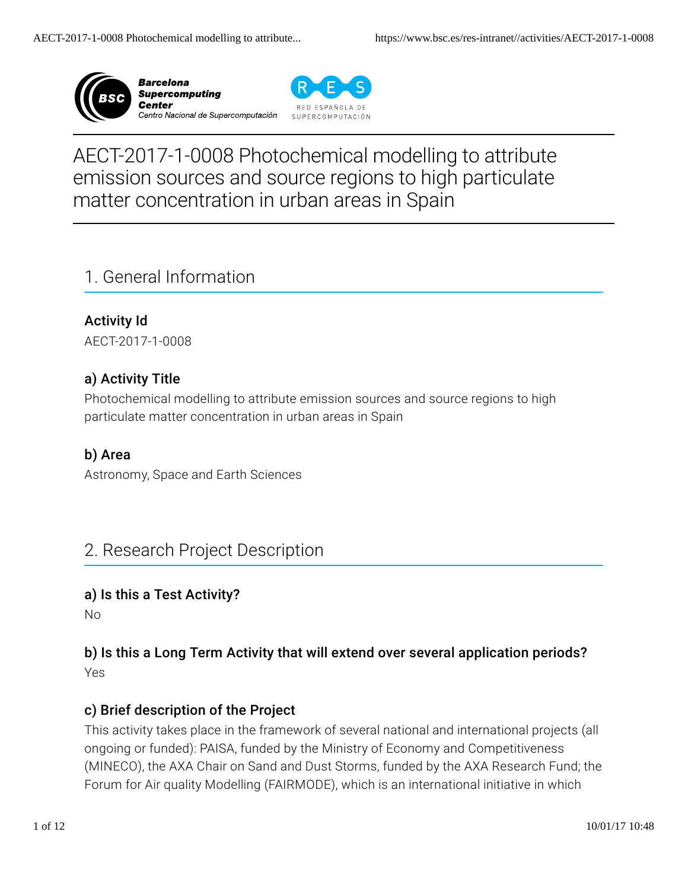



# AECT-2017-1-0008 Photochemical modelling to attribute emission sources and source regions to high particulate matter concentration in urban areas in Spain

# 1. General Information

Activity Id AECT-2017-1-0008

## a) Activity Title

Photochemical modelling to attribute emission sources and source regions to high particulate matter concentration in urban areas in Spain

## b) Area

Astronomy, Space and Earth Sciences

# 2. Research Project Description

#### a) Is this a Test Activity?

No

### b) Is this a Long Term Activity that will extend over several application periods? Yes

#### c) Brief description of the Project

This activity takes place in the framework of several national and international projects (all ongoing or funded): PAISA, funded by the Ministry of Economy and Competitiveness (MINECO), the AXA Chair on Sand and Dust Storms, funded by the AXA Research Fund; the Forum for Air quality Modelling (FAIRMODE), which is an international initiative in which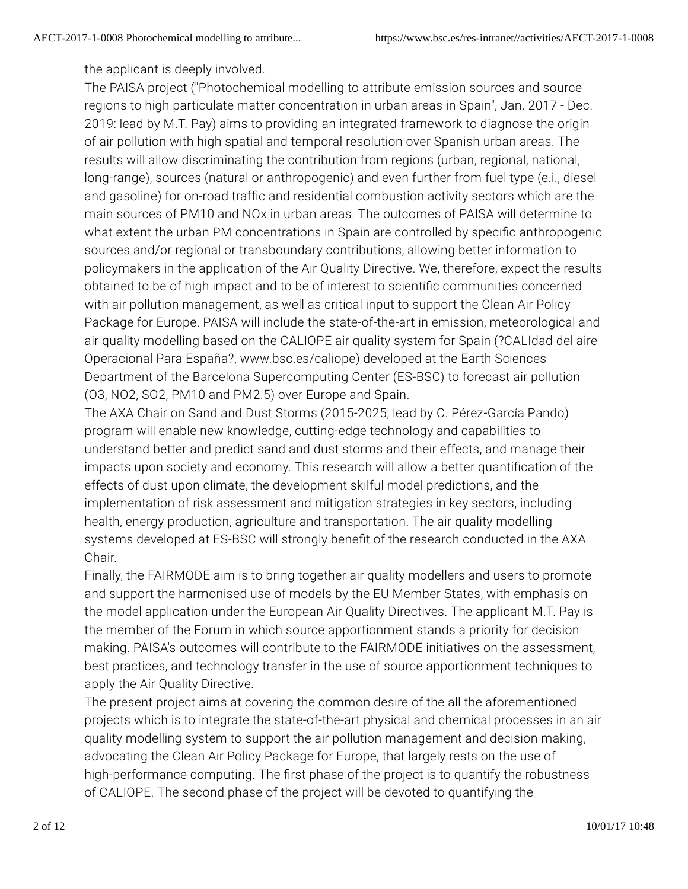the applicant is deeply involved.

The PAISA project ("Photochemical modelling to attribute emission sources and source regions to high particulate matter concentration in urban areas in Spain", Jan. 2017 - Dec. 2019: lead by M.T. Pay) aims to providing an integrated framework to diagnose the origin of air pollution with high spatial and temporal resolution over Spanish urban areas. The results will allow discriminating the contribution from regions (urban, regional, national, long-range), sources (natural or anthropogenic) and even further from fuel type (e.i., diesel and gasoline) for on-road traffic and residential combustion activity sectors which are the main sources of PM10 and NOx in urban areas. The outcomes of PAISA will determine to what extent the urban PM concentrations in Spain are controlled by specific anthropogenic sources and/or regional or transboundary contributions, allowing better information to policymakers in the application of the Air Quality Directive. We, therefore, expect the results obtained to be of high impact and to be of interest to scienti�c communities concerned with air pollution management, as well as critical input to support the Clean Air Policy Package for Europe. PAISA will include the state-of-the-art in emission, meteorological and air quality modelling based on the CALIOPE air quality system for Spain (?CALIdad del aire Operacional Para España?, www.bsc.es/caliope) developed at the Earth Sciences Department of the Barcelona Supercomputing Center (ES-BSC) to forecast air pollution (O3, NO2, SO2, PM10 and PM2.5) over Europe and Spain.

The AXA Chair on Sand and Dust Storms (2015-2025, lead by C. Pérez-García Pando) program will enable new knowledge, cutting-edge technology and capabilities to understand better and predict sand and dust storms and their effects, and manage their impacts upon society and economy. This research will allow a better quantification of the effects of dust upon climate, the development skilful model predictions, and the implementation of risk assessment and mitigation strategies in key sectors, including health, energy production, agriculture and transportation. The air quality modelling systems developed at ES-BSC will strongly benefit of the research conducted in the AXA Chair.

Finally, the FAIRMODE aim is to bring together air quality modellers and users to promote and support the harmonised use of models by the EU Member States, with emphasis on the model application under the European Air Quality Directives. The applicant M.T. Pay is the member of the Forum in which source apportionment stands a priority for decision making. PAISA's outcomes will contribute to the FAIRMODE initiatives on the assessment, best practices, and technology transfer in the use of source apportionment techniques to apply the Air Quality Directive.

The present project aims at covering the common desire of the all the aforementioned projects which is to integrate the state-of-the-art physical and chemical processes in an air quality modelling system to support the air pollution management and decision making, advocating the Clean Air Policy Package for Europe, that largely rests on the use of high-performance computing. The first phase of the project is to quantify the robustness of CALIOPE. The second phase of the project will be devoted to quantifying the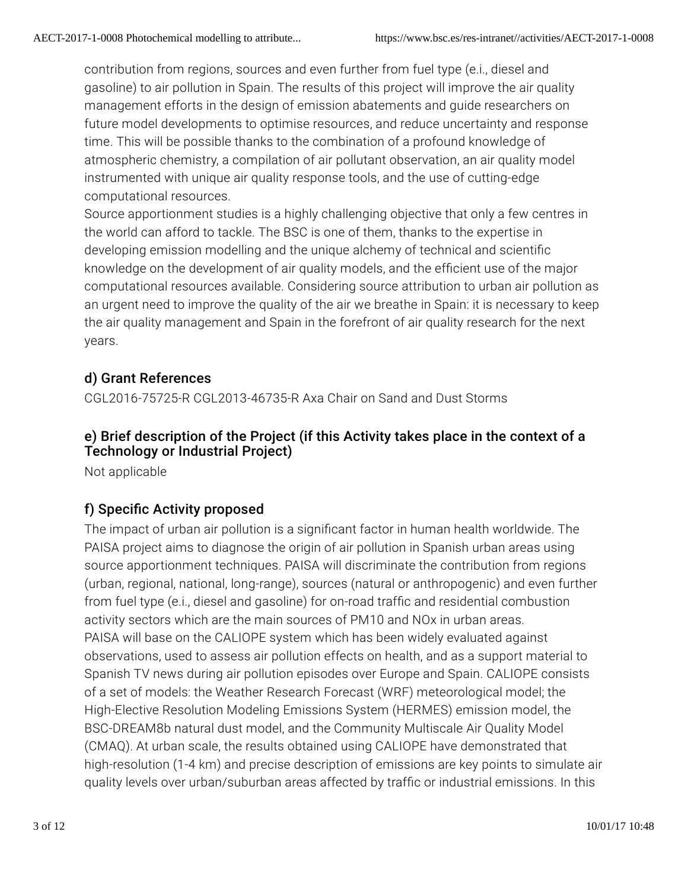contribution from regions, sources and even further from fuel type (e.i., diesel and gasoline) to air pollution in Spain. The results of this project will improve the air quality management efforts in the design of emission abatements and guide researchers on future model developments to optimise resources, and reduce uncertainty and response time. This will be possible thanks to the combination of a profound knowledge of atmospheric chemistry, a compilation of air pollutant observation, an air quality model instrumented with unique air quality response tools, and the use of cutting-edge computational resources.

Source apportionment studies is a highly challenging objective that only a few centres in the world can afford to tackle. The BSC is one of them, thanks to the expertise in developing emission modelling and the unique alchemy of technical and scientific knowledge on the development of air quality models, and the efficient use of the major computational resources available. Considering source attribution to urban air pollution as an urgent need to improve the quality of the air we breathe in Spain: it is necessary to keep the air quality management and Spain in the forefront of air quality research for the next years.

# d) Grant References

CGL2016-75725-R CGL2013-46735-R Axa Chair on Sand and Dust Storms

## e) Brief description of the Project (if this Activity takes place in the context of a Technology or Industrial Project)

Not applicable

# f) Specific Activity proposed

The impact of urban air pollution is a signi�cant factor in human health worldwide. The PAISA project aims to diagnose the origin of air pollution in Spanish urban areas using source apportionment techniques. PAISA will discriminate the contribution from regions (urban, regional, national, long-range), sources (natural or anthropogenic) and even further from fuel type (e.i., diesel and gasoline) for on-road traffic and residential combustion activity sectors which are the main sources of PM10 and NOx in urban areas. PAISA will base on the CALIOPE system which has been widely evaluated against observations, used to assess air pollution effects on health, and as a support material to Spanish TV news during air pollution episodes over Europe and Spain. CALIOPE consists of a set of models: the Weather Research Forecast (WRF) meteorological model; the High-Elective Resolution Modeling Emissions System (HERMES) emission model, the BSC-DREAM8b natural dust model, and the Community Multiscale Air Quality Model (CMAQ). At urban scale, the results obtained using CALIOPE have demonstrated that high-resolution (1-4 km) and precise description of emissions are key points to simulate air quality levels over urban/suburban areas affected by traffic or industrial emissions. In this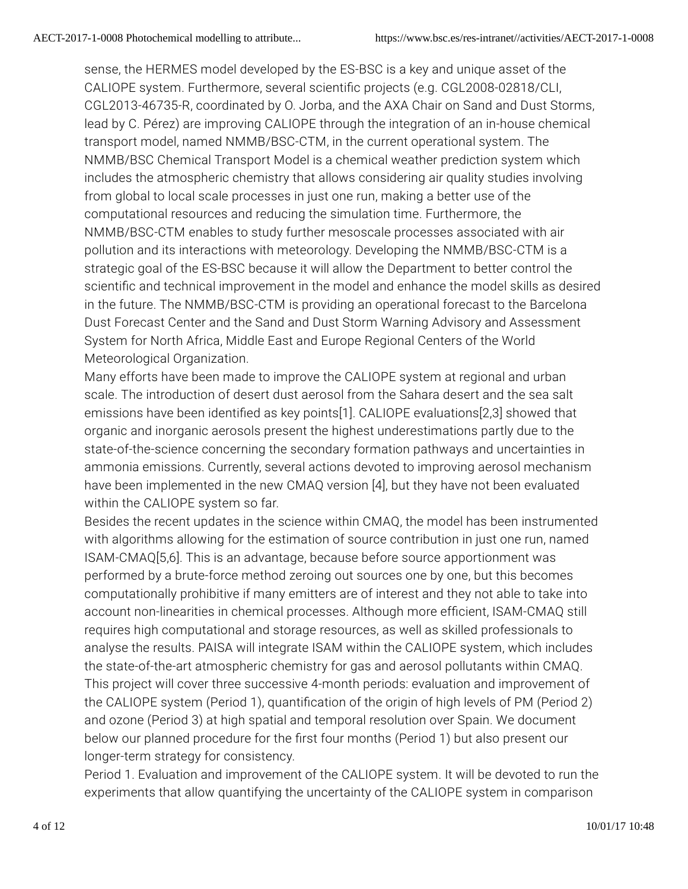sense, the HERMES model developed by the ES-BSC is a key and unique asset of the CALIOPE system. Furthermore, several scienti�c projects (e.g. CGL2008-02818/CLI, CGL2013-46735-R, coordinated by O. Jorba, and the AXA Chair on Sand and Dust Storms, lead by C. Pérez) are improving CALIOPE through the integration of an in-house chemical transport model, named NMMB/BSC-CTM, in the current operational system. The NMMB/BSC Chemical Transport Model is a chemical weather prediction system which includes the atmospheric chemistry that allows considering air quality studies involving from global to local scale processes in just one run, making a better use of the computational resources and reducing the simulation time. Furthermore, the NMMB/BSC-CTM enables to study further mesoscale processes associated with air pollution and its interactions with meteorology. Developing the NMMB/BSC-CTM is a strategic goal of the ES-BSC because it will allow the Department to better control the scientific and technical improvement in the model and enhance the model skills as desired in the future. The NMMB/BSC-CTM is providing an operational forecast to the Barcelona Dust Forecast Center and the Sand and Dust Storm Warning Advisory and Assessment System for North Africa, Middle East and Europe Regional Centers of the World Meteorological Organization.

Many efforts have been made to improve the CALIOPE system at regional and urban scale. The introduction of desert dust aerosol from the Sahara desert and the sea salt emissions have been identified as key points[1]. CALIOPE evaluations[2,3] showed that organic and inorganic aerosols present the highest underestimations partly due to the state-of-the-science concerning the secondary formation pathways and uncertainties in ammonia emissions. Currently, several actions devoted to improving aerosol mechanism have been implemented in the new CMAQ version [4], but they have not been evaluated within the CALIOPE system so far.

Besides the recent updates in the science within CMAQ, the model has been instrumented with algorithms allowing for the estimation of source contribution in just one run, named ISAM-CMAQ[5,6]. This is an advantage, because before source apportionment was performed by a brute-force method zeroing out sources one by one, but this becomes computationally prohibitive if many emitters are of interest and they not able to take into account non-linearities in chemical processes. Although more efficient, ISAM-CMAQ still requires high computational and storage resources, as well as skilled professionals to analyse the results. PAISA will integrate ISAM within the CALIOPE system, which includes the state-of-the-art atmospheric chemistry for gas and aerosol pollutants within CMAQ. This project will cover three successive 4-month periods: evaluation and improvement of the CALIOPE system (Period 1), quanti�cation of the origin of high levels of PM (Period 2) and ozone (Period 3) at high spatial and temporal resolution over Spain. We document below our planned procedure for the first four months (Period 1) but also present our longer-term strategy for consistency.

Period 1. Evaluation and improvement of the CALIOPE system. It will be devoted to run the experiments that allow quantifying the uncertainty of the CALIOPE system in comparison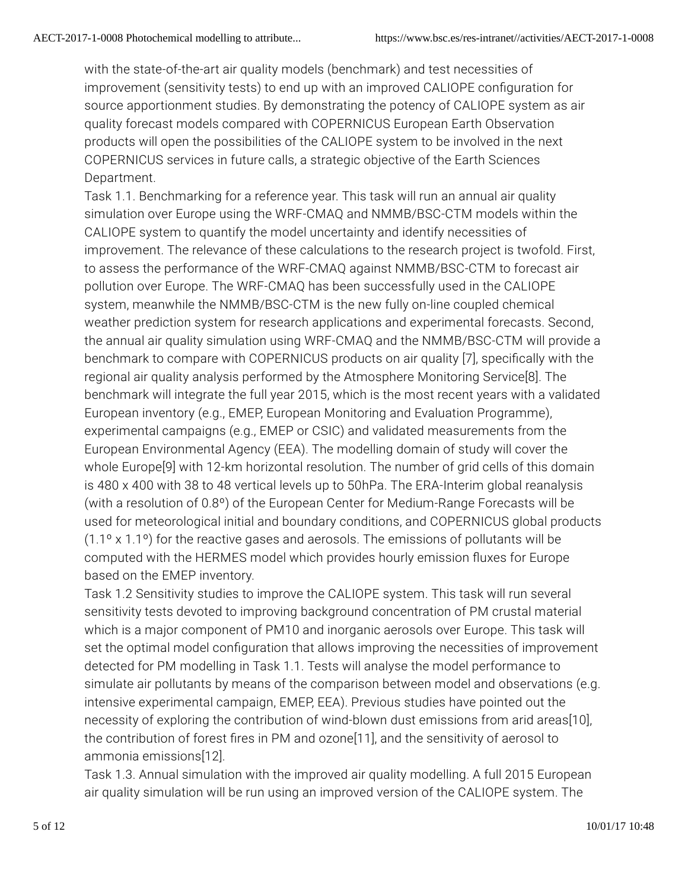with the state-of-the-art air quality models (benchmark) and test necessities of improvement (sensitivity tests) to end up with an improved CALIOPE con�guration for source apportionment studies. By demonstrating the potency of CALIOPE system as air quality forecast models compared with COPERNICUS European Earth Observation products will open the possibilities of the CALIOPE system to be involved in the next COPERNICUS services in future calls, a strategic objective of the Earth Sciences Department.

Task 1.1. Benchmarking for a reference year. This task will run an annual air quality simulation over Europe using the WRF-CMAQ and NMMB/BSC-CTM models within the CALIOPE system to quantify the model uncertainty and identify necessities of improvement. The relevance of these calculations to the research project is twofold. First, to assess the performance of the WRF-CMAQ against NMMB/BSC-CTM to forecast air pollution over Europe. The WRF-CMAQ has been successfully used in the CALIOPE system, meanwhile the NMMB/BSC-CTM is the new fully on-line coupled chemical weather prediction system for research applications and experimental forecasts. Second, the annual air quality simulation using WRF-CMAQ and the NMMB/BSC-CTM will provide a benchmark to compare with COPERNICUS products on air quality [7], specifically with the regional air quality analysis performed by the Atmosphere Monitoring Service[8]. The benchmark will integrate the full year 2015, which is the most recent years with a validated European inventory (e.g., EMEP, European Monitoring and Evaluation Programme), experimental campaigns (e.g., EMEP or CSIC) and validated measurements from the European Environmental Agency (EEA). The modelling domain of study will cover the whole Europe[9] with 12-km horizontal resolution. The number of grid cells of this domain is 480 x 400 with 38 to 48 vertical levels up to 50hPa. The ERA-Interim global reanalysis (with a resolution of 0.8º) of the European Center for Medium-Range Forecasts will be used for meteorological initial and boundary conditions, and COPERNICUS global products (1.1º x 1.1º) for the reactive gases and aerosols. The emissions of pollutants will be computed with the HERMES model which provides hourly emission fluxes for Europe based on the EMEP inventory.

Task 1.2 Sensitivity studies to improve the CALIOPE system. This task will run several sensitivity tests devoted to improving background concentration of PM crustal material which is a major component of PM10 and inorganic aerosols over Europe. This task will set the optimal model configuration that allows improving the necessities of improvement detected for PM modelling in Task 1.1. Tests will analyse the model performance to simulate air pollutants by means of the comparison between model and observations (e.g. intensive experimental campaign, EMEP, EEA). Previous studies have pointed out the necessity of exploring the contribution of wind-blown dust emissions from arid areas[10], the contribution of forest fires in PM and ozone<sup>[11]</sup>, and the sensitivity of aerosol to ammonia emissions[12].

Task 1.3. Annual simulation with the improved air quality modelling. A full 2015 European air quality simulation will be run using an improved version of the CALIOPE system. The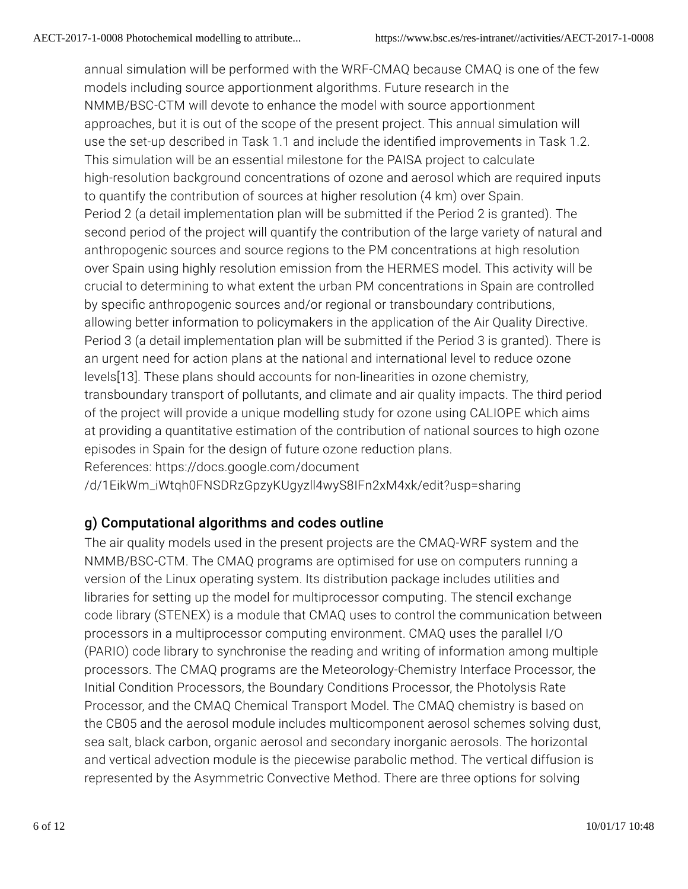annual simulation will be performed with the WRF-CMAQ because CMAQ is one of the few models including source apportionment algorithms. Future research in the NMMB/BSC-CTM will devote to enhance the model with source apportionment approaches, but it is out of the scope of the present project. This annual simulation will use the set-up described in Task 1.1 and include the identified improvements in Task 1.2. This simulation will be an essential milestone for the PAISA project to calculate high-resolution background concentrations of ozone and aerosol which are required inputs to quantify the contribution of sources at higher resolution (4 km) over Spain. Period 2 (a detail implementation plan will be submitted if the Period 2 is granted). The second period of the project will quantify the contribution of the large variety of natural and anthropogenic sources and source regions to the PM concentrations at high resolution over Spain using highly resolution emission from the HERMES model. This activity will be crucial to determining to what extent the urban PM concentrations in Spain are controlled by speci�c anthropogenic sources and/or regional or transboundary contributions, allowing better information to policymakers in the application of the Air Quality Directive. Period 3 (a detail implementation plan will be submitted if the Period 3 is granted). There is an urgent need for action plans at the national and international level to reduce ozone levels[13]. These plans should accounts for non-linearities in ozone chemistry, transboundary transport of pollutants, and climate and air quality impacts. The third period of the project will provide a unique modelling study for ozone using CALIOPE which aims at providing a quantitative estimation of the contribution of national sources to high ozone episodes in Spain for the design of future ozone reduction plans. References: https://docs.google.com/document

/d/1EikWm\_iWtqh0FNSDRzGpzyKUgyzll4wyS8IFn2xM4xk/edit?usp=sharing

## g) Computational algorithms and codes outline

The air quality models used in the present projects are the CMAQ-WRF system and the NMMB/BSC-CTM. The CMAQ programs are optimised for use on computers running a version of the Linux operating system. Its distribution package includes utilities and libraries for setting up the model for multiprocessor computing. The stencil exchange code library (STENEX) is a module that CMAQ uses to control the communication between processors in a multiprocessor computing environment. CMAQ uses the parallel I/O (PARIO) code library to synchronise the reading and writing of information among multiple processors. The CMAQ programs are the Meteorology-Chemistry Interface Processor, the Initial Condition Processors, the Boundary Conditions Processor, the Photolysis Rate Processor, and the CMAQ Chemical Transport Model. The CMAQ chemistry is based on the CB05 and the aerosol module includes multicomponent aerosol schemes solving dust, sea salt, black carbon, organic aerosol and secondary inorganic aerosols. The horizontal and vertical advection module is the piecewise parabolic method. The vertical diffusion is represented by the Asymmetric Convective Method. There are three options for solving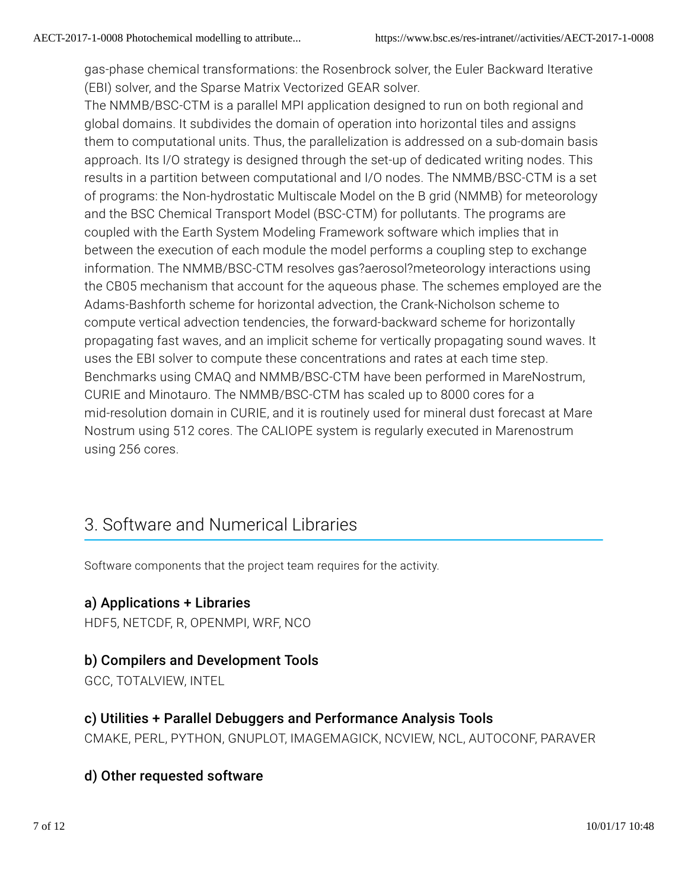gas-phase chemical transformations: the Rosenbrock solver, the Euler Backward Iterative (EBI) solver, and the Sparse Matrix Vectorized GEAR solver.

The NMMB/BSC-CTM is a parallel MPI application designed to run on both regional and global domains. It subdivides the domain of operation into horizontal tiles and assigns them to computational units. Thus, the parallelization is addressed on a sub-domain basis approach. Its I/O strategy is designed through the set-up of dedicated writing nodes. This results in a partition between computational and I/O nodes. The NMMB/BSC-CTM is a set of programs: the Non-hydrostatic Multiscale Model on the B grid (NMMB) for meteorology and the BSC Chemical Transport Model (BSC-CTM) for pollutants. The programs are coupled with the Earth System Modeling Framework software which implies that in between the execution of each module the model performs a coupling step to exchange information. The NMMB/BSC-CTM resolves gas?aerosol?meteorology interactions using the CB05 mechanism that account for the aqueous phase. The schemes employed are the Adams-Bashforth scheme for horizontal advection, the Crank-Nicholson scheme to compute vertical advection tendencies, the forward-backward scheme for horizontally propagating fast waves, and an implicit scheme for vertically propagating sound waves. It uses the EBI solver to compute these concentrations and rates at each time step. Benchmarks using CMAQ and NMMB/BSC-CTM have been performed in MareNostrum, CURIE and Minotauro. The NMMB/BSC-CTM has scaled up to 8000 cores for a mid-resolution domain in CURIE, and it is routinely used for mineral dust forecast at Mare Nostrum using 512 cores. The CALIOPE system is regularly executed in Marenostrum using 256 cores.

# 3. Software and Numerical Libraries

Software components that the project team requires for the activity.

#### a) Applications + Libraries

HDF5, NETCDF, R, OPENMPI, WRF, NCO

#### b) Compilers and Development Tools

GCC, TOTALVIEW, INTEL

#### c) Utilities + Parallel Debuggers and Performance Analysis Tools

CMAKE, PERL, PYTHON, GNUPLOT, IMAGEMAGICK, NCVIEW, NCL, AUTOCONF, PARAVER

## d) Other requested software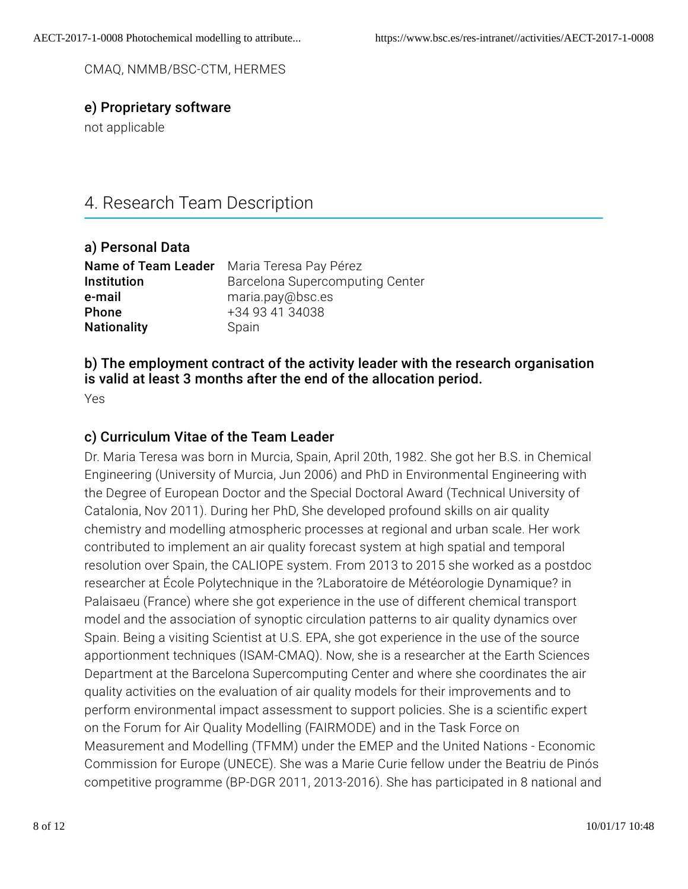CMAQ, NMMB/BSC-CTM, HERMES

#### e) Proprietary software

not applicable

# 4. Research Team Description

| a) Personal Data   |                                            |
|--------------------|--------------------------------------------|
|                    | Name of Team Leader Maria Teresa Pay Pérez |
| Institution        | Barcelona Supercomputing Center            |
| e-mail             | maria.pay@bsc.es                           |
| Phone              | +34 93 41 34038                            |
| <b>Nationality</b> | Spain                                      |
|                    |                                            |

#### b) The employment contract of the activity leader with the research organisation is valid at least 3 months after the end of the allocation period.

Yes

### c) Curriculum Vitae of the Team Leader

Dr. Maria Teresa was born in Murcia, Spain, April 20th, 1982. She got her B.S. in Chemical Engineering (University of Murcia, Jun 2006) and PhD in Environmental Engineering with the Degree of European Doctor and the Special Doctoral Award (Technical University of Catalonia, Nov 2011). During her PhD, She developed profound skills on air quality chemistry and modelling atmospheric processes at regional and urban scale. Her work contributed to implement an air quality forecast system at high spatial and temporal resolution over Spain, the CALIOPE system. From 2013 to 2015 she worked as a postdoc researcher at École Polytechnique in the ?Laboratoire de Météorologie Dynamique? in Palaisaeu (France) where she got experience in the use of different chemical transport model and the association of synoptic circulation patterns to air quality dynamics over Spain. Being a visiting Scientist at U.S. EPA, she got experience in the use of the source apportionment techniques (ISAM-CMAQ). Now, she is a researcher at the Earth Sciences Department at the Barcelona Supercomputing Center and where she coordinates the air quality activities on the evaluation of air quality models for their improvements and to perform environmental impact assessment to support policies. She is a scientific expert on the Forum for Air Quality Modelling (FAIRMODE) and in the Task Force on Measurement and Modelling (TFMM) under the EMEP and the United Nations - Economic Commission for Europe (UNECE). She was a Marie Curie fellow under the Beatriu de Pinós competitive programme (BP-DGR 2011, 2013-2016). She has participated in 8 national and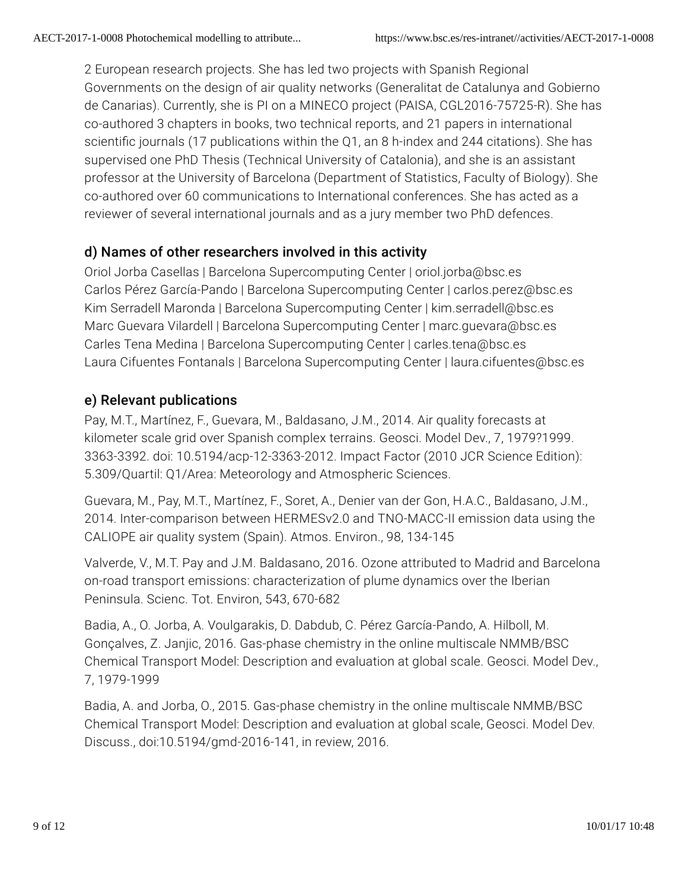2 European research projects. She has led two projects with Spanish Regional Governments on the design of air quality networks (Generalitat de Catalunya and Gobierno de Canarias). Currently, she is PI on a MINECO project (PAISA, CGL2016-75725-R). She has co-authored 3 chapters in books, two technical reports, and 21 papers in international scientific iournals (17 publications within the Q1, an 8 h-index and 244 citations). She has supervised one PhD Thesis (Technical University of Catalonia), and she is an assistant professor at the University of Barcelona (Department of Statistics, Faculty of Biology). She co-authored over 60 communications to International conferences. She has acted as a reviewer of several international journals and as a jury member two PhD defences.

# d) Names of other researchers involved in this activity

Oriol Jorba Casellas | Barcelona Supercomputing Center | oriol.jorba@bsc.es Carlos Pérez García-Pando | Barcelona Supercomputing Center | carlos.perez@bsc.es Kim Serradell Maronda | Barcelona Supercomputing Center | kim.serradell@bsc.es Marc Guevara Vilardell | Barcelona Supercomputing Center | marc.guevara@bsc.es Carles Tena Medina | Barcelona Supercomputing Center | carles.tena@bsc.es Laura Cifuentes Fontanals | Barcelona Supercomputing Center | laura.cifuentes@bsc.es

## e) Relevant publications

Pay, M.T., Martínez, F., Guevara, M., Baldasano, J.M., 2014. Air quality forecasts at kilometer scale grid over Spanish complex terrains. Geosci. Model Dev., 7, 1979?1999. 3363-3392. doi: 10.5194/acp-12-3363-2012. Impact Factor (2010 JCR Science Edition): 5.309/Quartil: Q1/Area: Meteorology and Atmospheric Sciences.

Guevara, M., Pay, M.T., Martínez, F., Soret, A., Denier van der Gon, H.A.C., Baldasano, J.M., 2014. Inter-comparison between HERMESv2.0 and TNO-MACC-II emission data using the CALIOPE air quality system (Spain). Atmos. Environ., 98, 134-145

Valverde, V., M.T. Pay and J.M. Baldasano, 2016. Ozone attributed to Madrid and Barcelona on-road transport emissions: characterization of plume dynamics over the Iberian Peninsula. Scienc. Tot. Environ, 543, 670-682

Badia, A., O. Jorba, A. Voulgarakis, D. Dabdub, C. Pérez García-Pando, A. Hilboll, M. Gonçalves, Z. Janjic, 2016. Gas-phase chemistry in the online multiscale NMMB/BSC Chemical Transport Model: Description and evaluation at global scale. Geosci. Model Dev., 7, 1979-1999

Badia, A. and Jorba, O., 2015. Gas-phase chemistry in the online multiscale NMMB/BSC Chemical Transport Model: Description and evaluation at global scale, Geosci. Model Dev. Discuss., doi:10.5194/gmd-2016-141, in review, 2016.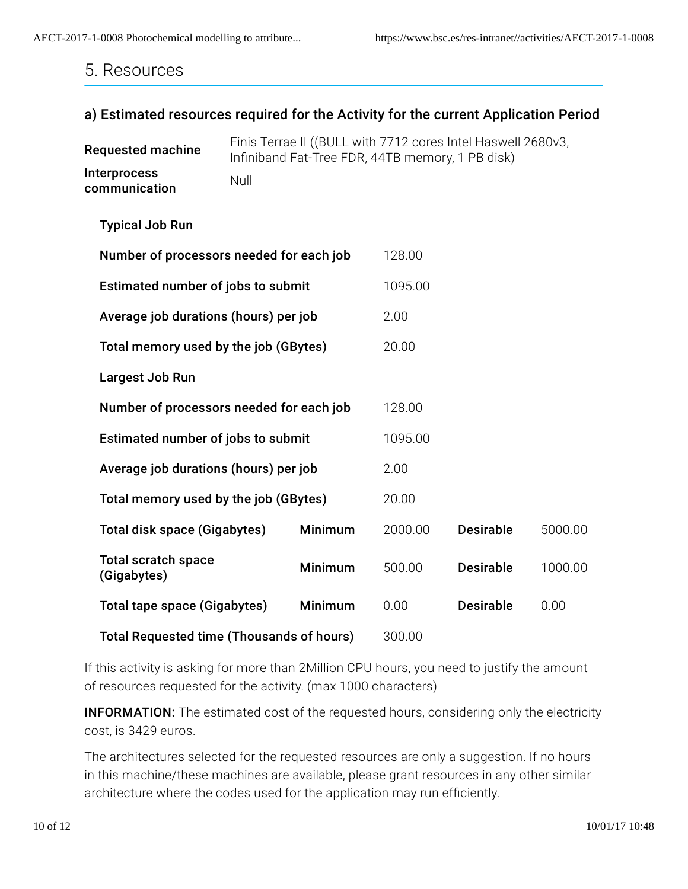# 5. Resources

#### a) Estimated resources required for the Activity for the current Application Period

| <b>Requested machine</b>                         | Finis Terrae II ((BULL with 7712 cores Intel Haswell 2680v3,<br>Infiniband Fat-Tree FDR, 44TB memory, 1 PB disk) |         |         |                  |         |  |
|--------------------------------------------------|------------------------------------------------------------------------------------------------------------------|---------|---------|------------------|---------|--|
| Interprocess<br>communication                    | Null                                                                                                             |         |         |                  |         |  |
| <b>Typical Job Run</b>                           |                                                                                                                  |         |         |                  |         |  |
| Number of processors needed for each job         |                                                                                                                  |         | 128.00  |                  |         |  |
| Estimated number of jobs to submit               |                                                                                                                  | 1095.00 |         |                  |         |  |
| Average job durations (hours) per job            |                                                                                                                  | 2.00    |         |                  |         |  |
| Total memory used by the job (GBytes)            |                                                                                                                  | 20.00   |         |                  |         |  |
| Largest Job Run                                  |                                                                                                                  |         |         |                  |         |  |
| Number of processors needed for each job         |                                                                                                                  | 128.00  |         |                  |         |  |
| Estimated number of jobs to submit               |                                                                                                                  | 1095.00 |         |                  |         |  |
| Average job durations (hours) per job            |                                                                                                                  | 2.00    |         |                  |         |  |
| Total memory used by the job (GBytes)            |                                                                                                                  | 20.00   |         |                  |         |  |
| <b>Total disk space (Gigabytes)</b>              |                                                                                                                  | Minimum | 2000.00 | <b>Desirable</b> | 5000.00 |  |
| <b>Total scratch space</b><br>(Gigabytes)        |                                                                                                                  | Minimum | 500.00  | <b>Desirable</b> | 1000.00 |  |
| <b>Total tape space (Gigabytes)</b>              |                                                                                                                  | Minimum | 0.00    | <b>Desirable</b> | 0.00    |  |
| <b>Total Requested time (Thousands of hours)</b> |                                                                                                                  | 300.00  |         |                  |         |  |

If this activity is asking for more than 2Million CPU hours, you need to justify the amount of resources requested for the activity. (max 1000 characters)

**INFORMATION:** The estimated cost of the requested hours, considering only the electricity cost, is 3429 euros.

The architectures selected for the requested resources are only a suggestion. If no hours in this machine/these machines are available, please grant resources in any other similar architecture where the codes used for the application may run efficiently.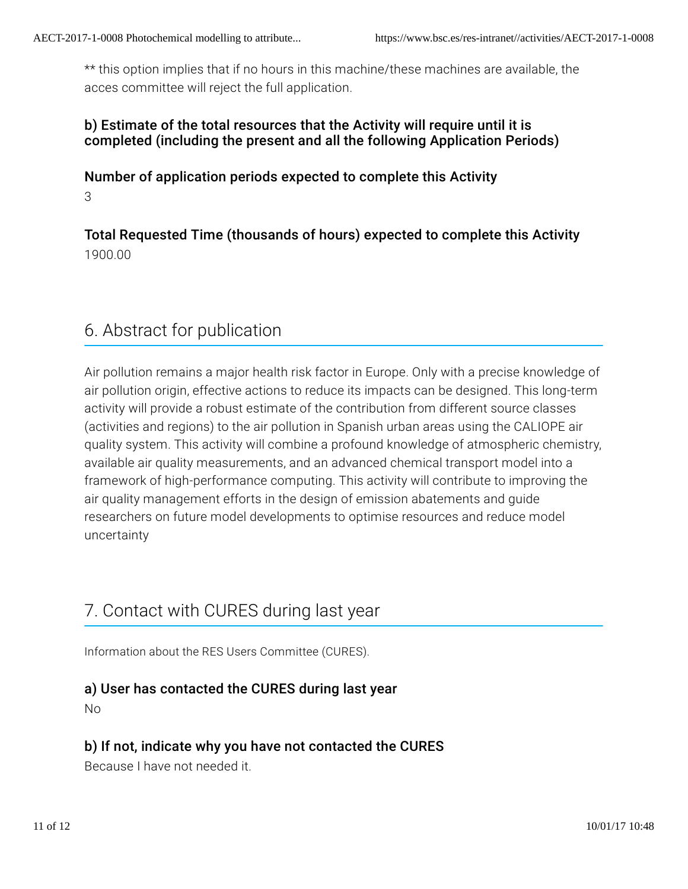\*\* this option implies that if no hours in this machine/these machines are available, the acces committee will reject the full application.

#### b) Estimate of the total resources that the Activity will require until it is completed (including the present and all the following Application Periods)

### Number of application periods expected to complete this Activity 3

Total Requested Time (thousands of hours) expected to complete this Activity 1900.00

# 6. Abstract for publication

Air pollution remains a major health risk factor in Europe. Only with a precise knowledge of air pollution origin, effective actions to reduce its impacts can be designed. This long-term activity will provide a robust estimate of the contribution from different source classes (activities and regions) to the air pollution in Spanish urban areas using the CALIOPE air quality system. This activity will combine a profound knowledge of atmospheric chemistry, available air quality measurements, and an advanced chemical transport model into a framework of high-performance computing. This activity will contribute to improving the air quality management efforts in the design of emission abatements and guide researchers on future model developments to optimise resources and reduce model uncertainty

# 7. Contact with CURES during last year

Information about the RES Users Committee (CURES).

## a) User has contacted the CURES during last year

No

## b) If not, indicate why you have not contacted the CURES

Because I have not needed it.